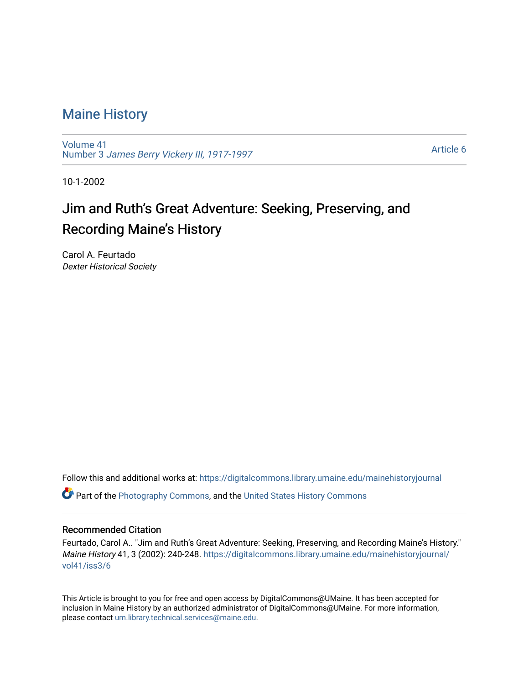## [Maine History](https://digitalcommons.library.umaine.edu/mainehistoryjournal)

[Volume 41](https://digitalcommons.library.umaine.edu/mainehistoryjournal/vol41) Number 3 [James Berry Vickery III, 1917-1997](https://digitalcommons.library.umaine.edu/mainehistoryjournal/vol41/iss3) 

[Article 6](https://digitalcommons.library.umaine.edu/mainehistoryjournal/vol41/iss3/6) 

10-1-2002

# Jim and Ruth's Great Adventure: Seeking, Preserving, and Recording Maine's History

Carol A. Feurtado Dexter Historical Society

Follow this and additional works at: [https://digitalcommons.library.umaine.edu/mainehistoryjournal](https://digitalcommons.library.umaine.edu/mainehistoryjournal?utm_source=digitalcommons.library.umaine.edu%2Fmainehistoryjournal%2Fvol41%2Fiss3%2F6&utm_medium=PDF&utm_campaign=PDFCoverPages) 

**C** Part of the [Photography Commons](http://network.bepress.com/hgg/discipline/1142?utm_source=digitalcommons.library.umaine.edu%2Fmainehistoryjournal%2Fvol41%2Fiss3%2F6&utm_medium=PDF&utm_campaign=PDFCoverPages), and the United States History Commons

#### Recommended Citation

Feurtado, Carol A.. "Jim and Ruth's Great Adventure: Seeking, Preserving, and Recording Maine's History." Maine History 41, 3 (2002): 240-248. [https://digitalcommons.library.umaine.edu/mainehistoryjournal/](https://digitalcommons.library.umaine.edu/mainehistoryjournal/vol41/iss3/6?utm_source=digitalcommons.library.umaine.edu%2Fmainehistoryjournal%2Fvol41%2Fiss3%2F6&utm_medium=PDF&utm_campaign=PDFCoverPages) [vol41/iss3/6](https://digitalcommons.library.umaine.edu/mainehistoryjournal/vol41/iss3/6?utm_source=digitalcommons.library.umaine.edu%2Fmainehistoryjournal%2Fvol41%2Fiss3%2F6&utm_medium=PDF&utm_campaign=PDFCoverPages)

This Article is brought to you for free and open access by DigitalCommons@UMaine. It has been accepted for inclusion in Maine History by an authorized administrator of DigitalCommons@UMaine. For more information, please contact [um.library.technical.services@maine.edu.](mailto:um.library.technical.services@maine.edu)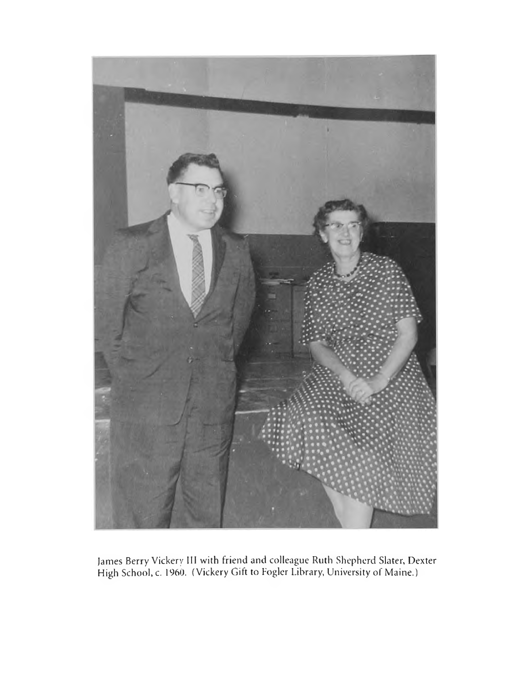

James Berry Vickery III with friend and colleague Ruth Shepherd Slater, Dexter High School, c. 1960. (Vickery Gift to Fogler Library, University of Maine.)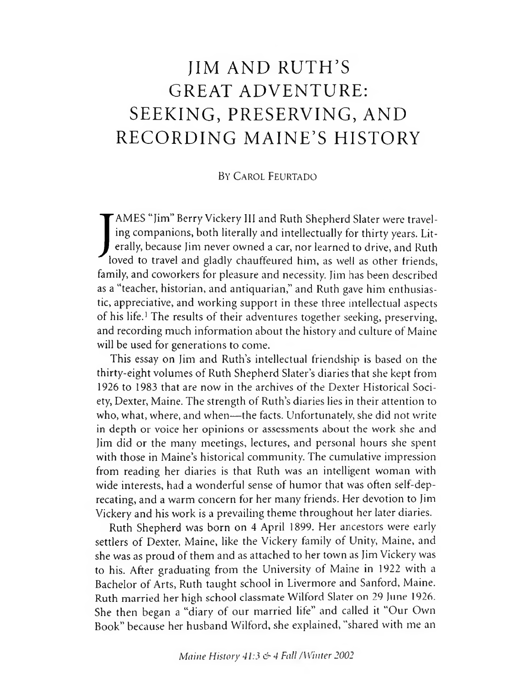# JIM AND RUTH'S GREAT ADVENTURE: SEEKING, PRESERVING, AND RECORDING MAINE'S HISTORY

#### BY CAROL FEURTADO

AMES "Jim" Berry Vickery III and Ruth Shepherd Slater were traveling companions, both literally and intellectually for thirty years. Literally, because Jim never owned a car, nor learned to drive, and Ruth loved to travel AMES "Jim" Berry Vickery III and Ruth Shepherd Slater were traveling companions, both literally and intellectually for thirty years. Literally, because Jim never owned a car, nor learned to drive, and Ruth family, and coworkers for pleasure and necessity. Jim has been described as a "teacher, historian, and antiquarian," and Ruth gave him enthusiastic, appreciative, and working support in these three intellectual aspects of his life.<sup>1</sup> The results of their adventures together seeking, preserving, and recording much information about the history and culture of Maine will be used for generations to come.

This essay on Jim and Ruth's intellectual friendship is based on the thirty-eight volumes of Ruth Shepherd Slater's diaries that she kept from 1926 to 1983 that are now in the archives of the Dexter Historical Society, Dexter, Maine. The strength of Ruth's diaries lies in their attention to who, what, where, and when— the facts. Unfortunately, she did not write in depth or voice her opinions or assessments about the work she and Jim did or the many meetings, lectures, and personal hours she spent with those in Maine's historical community. The cumulative impression from reading her diaries is that Ruth was an intelligent woman with wide interests, had a wonderful sense of humor that was often self-deprecating, and a warm concern for her many friends. Her devotion to Jim Vickery and his work is a prevailing theme throughout her later diaries.

Ruth Shepherd was born on 4 April 1899. Her ancestors were early settlers of Dexter, Maine, like the Vickery family of Unity, Maine, and she was as proud of them and as attached to her town as Jim Vickery was to his. After graduating from the University of Maine in 1922 with a Bachelor of Arts, Ruth taught school in Livermore and Sanford, Maine. Ruth married her high school classmate Wilford Slater on 29 June 1926. She then began a "diary of our married life" and called it "Our Own Book" because her husband Wilford, she explained, "shared with me an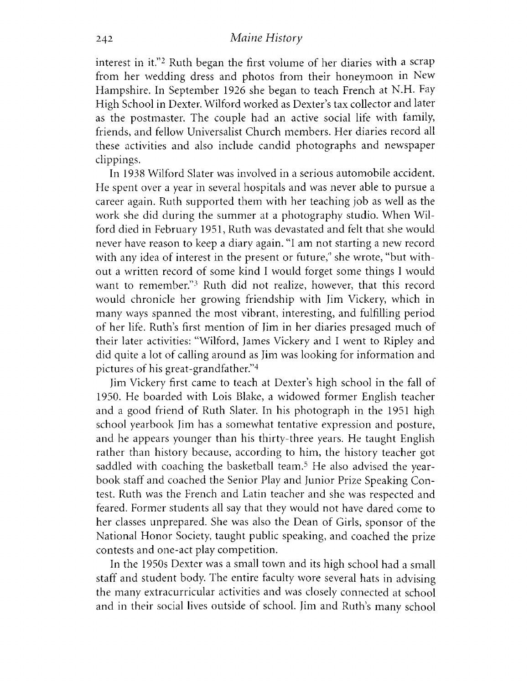interest in it."2 Ruth began the first volume of her diaries with a scrap from her wedding dress and photos from their honeymoon in New Hampshire. In September 1926 she began to teach French at N.H. Fay High School in Dexter. Wilford worked as Dexter's tax collector and later as the postmaster. The couple had an active social life with family friends, and fellow Universalist Church members. Her diaries record all these activities and also include candid photographs and newspaper clippings.

In 1938 Wilford Slater was involved in a serious automobile accident. He spent over a year in several hospitals and was never able to pursue a career again. Ruth supported them with her teaching job as well as the work she did during the summer at a photography studio. When Wilford died in February 1951, Ruth was devastated and felt that she would never have reason to keep a diary again. "I am not starting a new record with any idea of interest in the present or future," she wrote, "but without a written record of some kind I would forget some things I would want to remember."3 Ruth did not realize, however, that this record would chronicle her growing friendship with Jim Vickery, which in many ways spanned the most vibrant, interesting, and fulfilling period of her life. Ruth's first mention of Jim in her diaries presaged much of their later activities: "Wilford, James Vickery and I went to Ripley and did quite a lot of calling around as Jim was looking for information and pictures of his great-grandfather."4

Jim Vickery first came to teach at Dexter's high school in the fall of 1950. He boarded with Lois Blake, a widowed former English teacher and a good friend of Ruth Slater. In his photograph in the 1951 high school yearbook Jim has a somewhat tentative expression and posture, and he appears younger than his thirty-three years. He taught English rather than history because, according to him, the history teacher got saddled with coaching the basketball team.5 He also advised the yearbook staff and coached the Senior Play and Junior Prize Speaking Contest. Ruth was the French and Latin teacher and she was respected and feared. Former students all say that they would not have dared come to her classes unprepared. She was also the Dean of Girls, sponsor of the National Honor Society, taught public speaking, and coached the prize contests and one-act play competition.

In the 1950s Dexter was a small town and its high school had a small staff and student body. The entire faculty wore several hats in advising the many extracurricular activities and was closely connected at school and in their social lives outside of school. Jim and Ruth's many school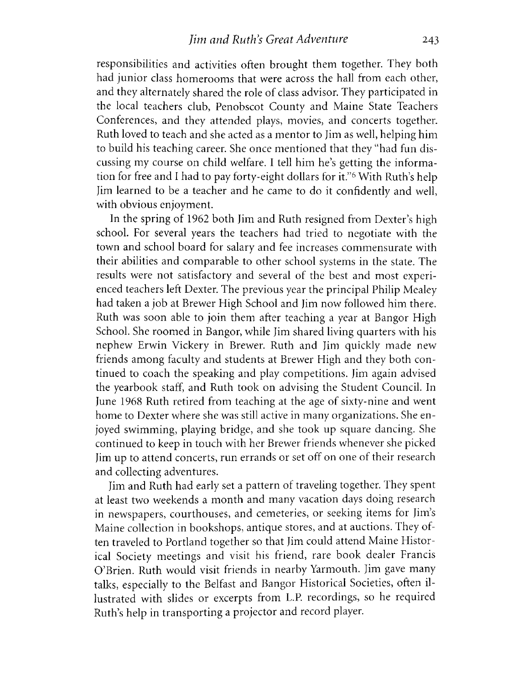responsibilities and activities often brought them together. They both had junior class homerooms that were across the hall from each other, and they alternately shared the role of class advisor. They participated in the local teachers club, Penobscot County and Maine State Teachers Conferences, and they attended plays, movies, and concerts together. Ruth loved to teach and she acted as a mentor to Jim as well, helping him to build his teaching career. She once mentioned that they "had fun discussing my course on child welfare. I tell him he's getting the information for free and I had to pay forty-eight dollars for it."<sup>6</sup> With Ruth's help Jim learned to be a teacher and he came to do it confidently and well, with obvious enjoyment.

In the spring of 1962 both Jim and Ruth resigned from Dexter's high school. For several years the teachers had tried to negotiate with the town and school board for salary and fee increases commensurate with their abilities and comparable to other school systems in the state. The results were not satisfactory and several of the best and most experienced teachers left Dexter. The previous year the principal Philip Mealey had taken a job at Brewer High School and Jim now followed him there. Ruth was soon able to join them after teaching a year at Bangor High School. She roomed in Bangor, while Jim shared living quarters with his nephew Erwin Vickery in Brewer. Ruth and Jim quickly made new friends among faculty and students at Brewer High and they both continued to coach the speaking and play competitions. Jim again advised the yearbook staff, and Ruth took on advising the Student Council. In June 1968 Ruth retired from teaching at the age of sixty-nine and went home to Dexter where she was still active in many organizations. She enjoyed swimming, playing bridge, and she took up square dancing. She continued to keep in touch with her Brewer friends whenever she picked Jim up to attend concerts, run errands or set off on one of their research and collecting adventures.

Jim and Ruth had early set a pattern of traveling together. They spent at least two weekends a month and many vacation days doing research in newspapers, courthouses, and cemeteries, or seeking items for Jim's Maine collection in bookshops, antique stores, and at auctions. They often traveled to Portland together so that Jim could attend Maine Historical Society meetings and visit his friend, rare book dealer Francis O'Brien. Ruth would visit friends in nearby Yarmouth. Jim gave many talks, especially to the Belfast and Bangor Historical Societies, often illustrated with slides or excerpts from L.P. recordings, so he required Ruth's help in transporting a projector and record player.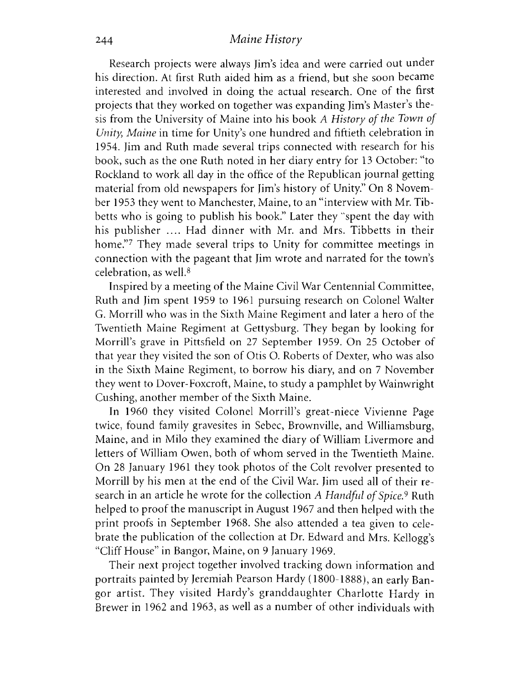#### 244 *Maine History*

Research projects were always Jim's idea and were carried out under his direction. At first Ruth aided him as a friend, but she soon became interested and involved in doing the actual research. One of the first projects that they worked on together was expanding Jim's Master's thesis from the University of Maine into his book A *History of the Town of Unity, Maine* in time for Unity's one hundred and fiftieth celebration in 1954. Jim and Ruth made several trips connected with research for his book, such as the one Ruth noted in her diary entry for 13 October: "to Rockland to work all day in the office of the Republican journal getting material from old newspapers for Jim's history of Unity." On 8 November 1953 they went to Manchester, Maine, to an "interview with Mr. Tibbetts who is going to publish his book." Later they "spent the day with his publisher .... Had dinner with Mr. and Mrs. Tibbetts in their home."<sup>7</sup> They made several trips to Unity for committee meetings in connection with the pageant that Jim wrote and narrated for the town's celebration, as well.8

Inspired by a meeting of the Maine Civil War Centennial Committee, Ruth and Jim spent 1959 to 1961 pursuing research on Colonel Walter G. Morrill who was in the Sixth Maine Regiment and later a hero of the Twentieth Maine Regiment at Gettysburg. They began by looking for Morrill's grave in Pittsfield on 27 September 1959. On 25 October of that year they visited the son of Otis O. Roberts of Dexter, who was also in the Sixth Maine Regiment, to borrow his diary, and on 7 November they went to Dover-Foxcroft, Maine, to study a pamphlet by Wainwright Cushing, another member of the Sixth Maine.

In 1960 they visited Colonel Morrill's great-niece Vivienne Page twice, found family gravesites in Sebec, Brownville, and Williamsburg, Maine, and in Milo they examined the diary of William Livermore and letters of William Owen, both of whom served in the Twentieth Maine. On 28 January 1961 they took photos of the Colt revolver presented to Morrill by his men at the end of the Civil War. Jim used all of their research in an article he wrote for the collection A *Handful of Spice*.<sup>9</sup> Ruth helped to proof the manuscript in August 1967 and then helped with the print proofs in September 1968. She also attended a tea given to celebrate the publication of the collection at Dr. Edward and Mrs. Kellogg's "Cliff House" in Bangor, Maine, on 9 January 1969.

Their next project together involved tracking down information and portraits painted by Jeremiah Pearson Hardy (1800-1888), an early Bangor artist. They visited Hardy's granddaughter Charlotte Hardy in Brewer in 1962 and 1963, as well as a number of other individuals with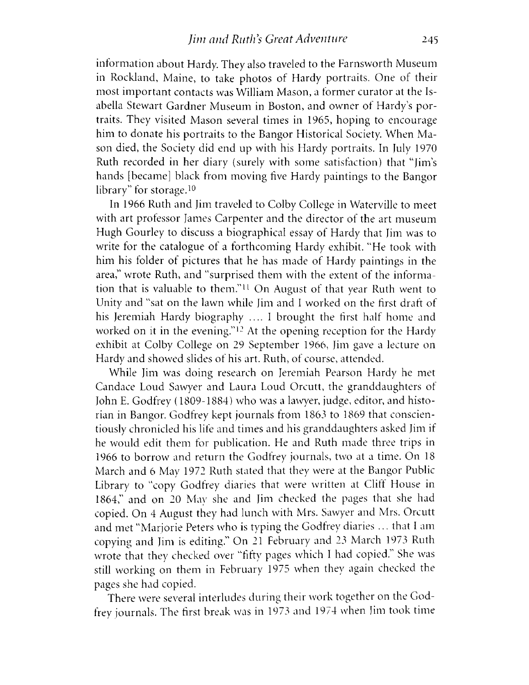information about Hardy. They also traveled to the Farnsworth Museum in Rockland, Maine, to take photos of Hardy portraits. One of their most important contacts was William Mason, a former curator at the Isabella Stewart Gardner Museum in Boston, and owner of Hardy's portraits. They visited Mason several times in 1965, hoping to encourage him to donate his portraits to the Bangor Historical Society. When Mason died, the Society did end up with his Hardy portraits. In July 1970 Ruth recorded in her diary (surely with some satisfaction) that "Jim's hands [became] black from moving five Hardy paintings to the Bangor library" for storage. $10$ 

In 1966 Ruth and Jim traveled to Colby College in Waterville to meet with art professor James Carpenter and the director of the art museum Hugh Gourley to discuss a biographical essay of Hardy that Jim was to write for the catalogue of a forthcoming Hardy exhibit. "He took with him his folder of pictures that he has made of Hardy paintings in the area," wrote Ruth, and "surprised them with the extent of the information that is valuable to them.<sup> $211$ </sup> On August of that year Ruth went to Unity and "sat on the lawn while Jim and I worked on the first draft of his Jeremiah Hardy biography .... I brought the first half home and worked on it in the evening."<sup>12</sup> At the opening reception for the Hardy exhibit at Colby College on 29 September 1966, Jim gave a lecture on Hardy and showed slides of his art. Ruth, of course, attended.

While Jim was doing research on Jeremiah Pearson Hardy he met Candace Loud Sawyer and Laura Loud Orcutt, the granddaughters of John E. Godfrey (1809-1884) who was a lawyer, judge, editor, and historian in Bangor. Godfrey kept journals from 1863 to 1869 that conscientiously chronicled his life and times and his granddaughters asked Jim if he would edit them for publication. He and Ruth made three trips in 1966 to borrow and return the Godfrey journals, two at a time. On 18 March and 6 May 1972 Ruth stated that they were at the Bangor Public Library to "copy Godfrey diaries that were written at Clift House in 1864," and on 20 May she and Jim checked the pages that she had copied. On 4 August they had lunch with Mrs. Sawyer and Mrs. Orcutt and met "Marjorie Peters who is typing the Godfrey diaries ... that I am copying and Jim is editing." On 21 February and 23 March 1973 Ruth wrote that they checked over "fifty pages which I had copied." She was still working on them in February 1975 when they again checked the pages she had copied.

There were several interludes during their work together on the Godfrey journals. The first break was in 1973 and 1974 when Jim took time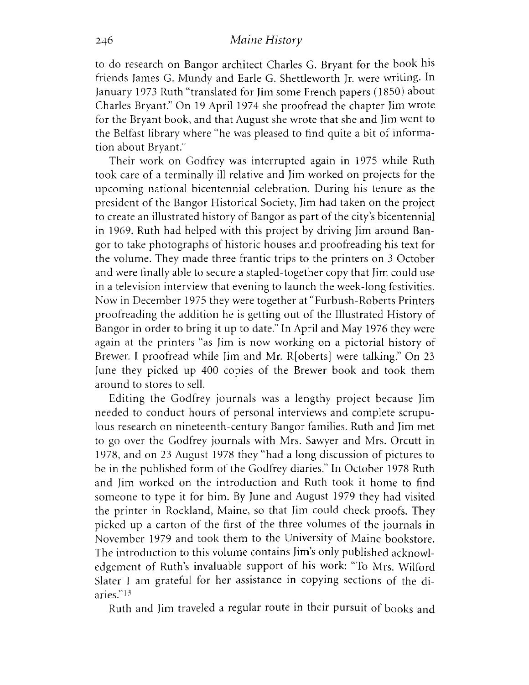to do research on Bangor architect Charles G. Bryant for the book his friends James G. Mundy and Earle G. Shettleworth Jr. were writing. In January 1973 Ruth "translated for Jim some French papers (1850) about Charles Bryant." On 19 April 1974 she proofread the chapter Jim wrote for the Bryant book, and that August she wrote that she and Jim went to the Belfast library where "he was pleased to find quite a bit of information about Bryant."

Their work on Godfrey was interrupted again in 1975 while Ruth took care of a terminally ill relative and Jim worked on projects for the upcoming national bicentennial celebration. During his tenure as the president of the Bangor Historical Society, Jim had taken on the project to create an illustrated history of Bangor as part of the city's bicentennial in 1969. Ruth had helped with this project by driving Jim around Bangor to take photographs of historic houses and proofreading his text for the volume. They made three frantic trips to the printers on 3 October and were finally able to secure a stapled-together copy that Jim could use in a television interview that evening to launch the week-long festivities. Now in December 1975 they were together at "Furbush-Roberts Printers proofreading the addition he is getting out of the Illustrated History of Bangor in order to bring it up to date." In April and May 1976 they were again at the printers "as Jim is now working on a pictorial history of Brewer. I proofread while Jim and Mr. R[oberts] were talking." On 23 June they picked up 400 copies of the Brewer book and took them around to stores to sell.

Editing the Godfrey journals was a lengthy project because Jim needed to conduct hours of personal interviews and complete scrupulous research on nineteenth-century Bangor families. Ruth and Jim met to go over the Godfrey journals with Mrs. Sawyer and Mrs. Orcutt in 1978, and on 23 August 1978 they "had a long discussion of pictures to be in the published form of the Godfrey diaries." In October 1978 Ruth and Jim worked on the introduction and Ruth took it home to find someone to type it for him. By June and August 1979 they had visited the printer in Rockland, Maine, so that Jim could check proofs. They picked up a carton of the first of the three volumes of the journals in November 1979 and took them to the University of Maine bookstore. The introduction to this volume contains Jim's only published acknowledgement of Ruth's invaluable support of his work: "To Mrs. Wilford Slater I am grateful for her assistance in copying sections of the diaries."13

Ruth and Jim traveled a regular route in their pursuit of books and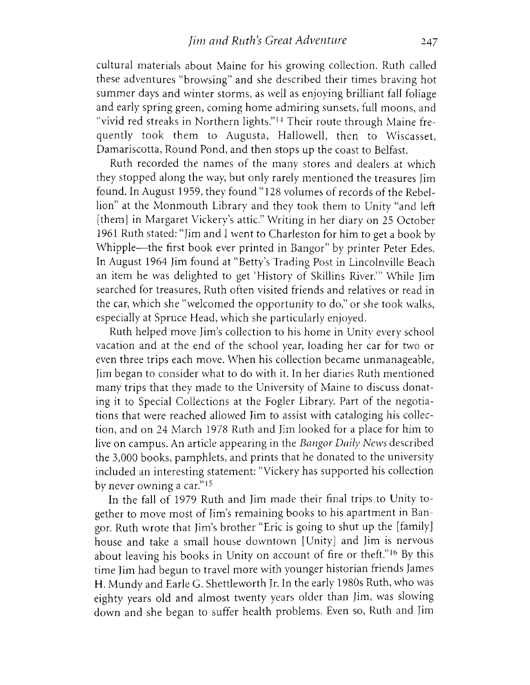cultural materials about Maine for his growing collection. Ruth called these adventures "browsing" and she described their times braving hot summer days and winter storms, as well as enjoying brilliant fall foliage and early spring green, coming home admiring sunsets, full moons, and "vivid red streaks in Northern lights."14 Their route through Maine frequently took them to Augusta, Hallowell, then to Wiscasset, Damariscotta, Round Pond, and then stops up the coast to Belfast.

Ruth recorded the names of the many stores and dealers at which they stopped along the way, but only rarely mentioned the treasures Jim found. In August 1959, they found " 128 volumes of records of the Rebellion" at the Monmouth Library and they took them to Unity "and left [them] in Margaret Vickery's attic." Writing in her diary on 25 October 1961 Ruth stated: "Jim and I went to Charleston for him to get a book by Whipple— the first book ever printed in Bangor" by printer Peter Edes. In August 1964 Jim found at "Betty's Trading Post in Lincolnville Beach an item he was delighted to get 'History of Skillins River.'" While Jim searched for treasures, Ruth often visited friends and relatives or read in the car, which she "welcomed the opportunity to do," or she took walks, especially at Spruce Head, which she particularly enjoyed.

Ruth helped move Jim's collection to his home in Unity every school vacation and at the end of the school year, loading her car for two or even three trips each move. When his collection became unmanageable, Jim began to consider what to do with it. In her diaries Ruth mentioned many trips that they made to the University of Maine to discuss donating it to Special Collections at the Fogler Library. Part of the negotiations that were reached allowed Jim to assist with cataloging his collection, and on 24 March 1978 Ruth and Jim looked for a place for him to live on campus. An article appearing in the *Bangor Daily News* described the 3,000 books, pamphlets, and prints that he donated to the university included an interesting statement: "Vickery has supported his collection by never owning a car."15

In the fall of 1979 Ruth and Jim made their final trips to Unity together to move most of Jim's remaining books to his apartment in Bangor. Ruth wrote that Jim's brother "Eric is going to shut up the [family] house and take a small house downtown [Unity] and Jim is nervous about leaving his books in Unity on account of fire or theft."16 By this time Jim had begun to travel more with younger historian friends James H. Mundy and Earle G. Shettleworth Jr. In the early 1980s Ruth, who was eighty years old and almost twenty years older than Jim, was slowing down and she began to suffer health problems. Even so, Ruth and Jim